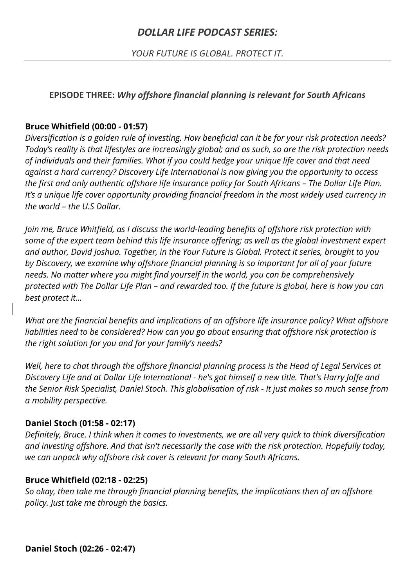# *DOLLAR LIFE PODCAST SERIES:*

*YOUR FUTURE IS GLOBAL. PROTECT IT.*

### **EPISODE THREE:** *Why offshore financial planning is relevant for South Africans*

### **Bruce Whitfield (00:00 - 01:57)**

*Diversification is a golden rule of investing. How beneficial can it be for your risk protection needs? Today's reality is that lifestyles are increasingly global; and as such, so are the risk protection needs of individuals and their families. What if you could hedge your unique life cover and that need against a hard currency? Discovery Life International is now giving you the opportunity to access the first and only authentic offshore life insurance policy for South Africans – The Dollar Life Plan. It's a unique life cover opportunity providing financial freedom in the most widely used currency in the world – the U.S Dollar.* 

*Join me, Bruce Whitfield, as I discuss the world-leading benefits of offshore risk protection with some of the expert team behind this life insurance offering; as well as the global investment expert and author, David Joshua. Together, in the Your Future is Global. Protect it series, brought to you by Discovery, we examine why offshore financial planning is so important for all of your future needs. No matter where you might find yourself in the world, you can be comprehensively protected with The Dollar Life Plan – and rewarded too. If the future is global, here is how you can best protect it…*

*What are the financial benefits and implications of an offshore life insurance policy? What offshore liabilities need to be considered? How can you go about ensuring that offshore risk protection is the right solution for you and for your family's needs?*

*Well, here to chat through the offshore financial planning process is the Head of Legal Services at Discovery Life and at Dollar Life International - he's got himself a new title. That's Harry Joffe and the Senior Risk Specialist, Daniel Stoch. This globalisation of risk - It just makes so much sense from a mobility perspective.*

### **Daniel Stoch (01:58 - 02:17)**

*Definitely, Bruce. I think when it comes to investments, we are all very quick to think diversification and investing offshore. And that isn't necessarily the case with the risk protection. Hopefully today, we can unpack why offshore risk cover is relevant for many South Africans.*

### **Bruce Whitfield (02:18 - 02:25)**

*So okay, then take me through financial planning benefits, the implications then of an offshore policy. Just take me through the basics.*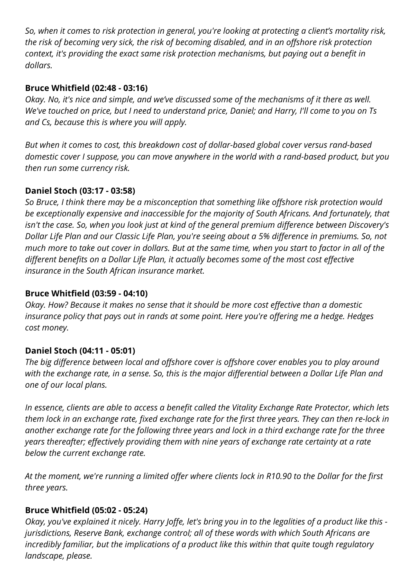*So, when it comes to risk protection in general, you're looking at protecting a client's mortality risk, the risk of becoming very sick, the risk of becoming disabled, and in an offshore risk protection context, it's providing the exact same risk protection mechanisms, but paying out a benefit in dollars.*

### **Bruce Whitfield (02:48 - 03:16)**

*Okay. No, it's nice and simple, and we've discussed some of the mechanisms of it there as well. We've touched on price, but I need to understand price, Daniel; and Harry, I'll come to you on Ts and Cs, because this is where you will apply.*

*But when it comes to cost, this breakdown cost of dollar-based global cover versus rand-based domestic cover I suppose, you can move anywhere in the world with a rand-based product, but you then run some currency risk.*

### **Daniel Stoch (03:17 - 03:58)**

*So Bruce, I think there may be a misconception that something like offshore risk protection would be exceptionally expensive and inaccessible for the majority of South Africans. And fortunately, that isn't the case. So, when you look just at kind of the general premium difference between Discovery's Dollar Life Plan and our Classic Life Plan, you're seeing about a 5% difference in premiums. So, not much more to take out cover in dollars. But at the same time, when you start to factor in all of the different benefits on a Dollar Life Plan, it actually becomes some of the most cost effective insurance in the South African insurance market.*

### **Bruce Whitfield (03:59 - 04:10)**

*Okay. How? Because it makes no sense that it should be more cost effective than a domestic insurance policy that pays out in rands at some point. Here you're offering me a hedge. Hedges cost money.*

# **Daniel Stoch (04:11 - 05:01)**

*The big difference between local and offshore cover is offshore cover enables you to play around with the exchange rate, in a sense. So, this is the major differential between a Dollar Life Plan and one of our local plans.*

*In essence, clients are able to access a benefit called the Vitality Exchange Rate Protector, which lets them lock in an exchange rate, fixed exchange rate for the first three years. They can then re-lock in another exchange rate for the following three years and lock in a third exchange rate for the three years thereafter; effectively providing them with nine years of exchange rate certainty at a rate below the current exchange rate.* 

*At the moment, we're running a limited offer where clients lock in R10.90 to the Dollar for the first three years.* 

### **Bruce Whitfield (05:02 - 05:24)**

*Okay, you've explained it nicely. Harry Joffe, let's bring you in to the legalities of a product like this jurisdictions, Reserve Bank, exchange control; all of these words with which South Africans are incredibly familiar, but the implications of a product like this within that quite tough regulatory landscape, please.*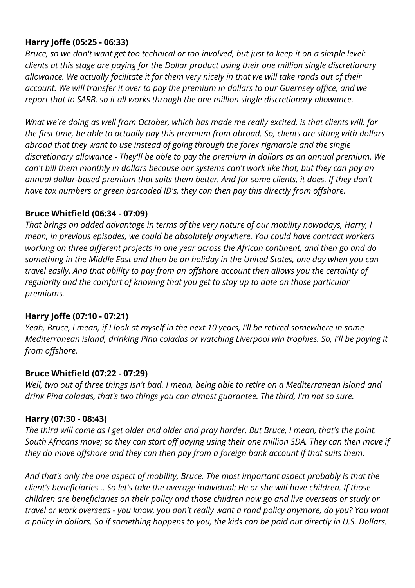### **Harry Joffe (05:25 - 06:33)**

*Bruce, so we don't want get too technical or too involved, but just to keep it on a simple level: clients at this stage are paying for the Dollar product using their one million single discretionary allowance. We actually facilitate it for them very nicely in that we will take rands out of their account. We will transfer it over to pay the premium in dollars to our Guernsey office, and we report that to SARB, so it all works through the one million single discretionary allowance.*

*What we're doing as well from October, which has made me really excited, is that clients will, for the first time, be able to actually pay this premium from abroad. So, clients are sitting with dollars abroad that they want to use instead of going through the forex rigmarole and the single discretionary allowance - They'll be able to pay the premium in dollars as an annual premium. We can't bill them monthly in dollars because our systems can't work like that, but they can pay an annual dollar-based premium that suits them better. And for some clients, it does. If they don't have tax numbers or green barcoded ID's, they can then pay this directly from offshore.*

#### **Bruce Whitfield (06:34 - 07:09)**

*That brings an added advantage in terms of the very nature of our mobility nowadays, Harry, I mean, in previous episodes, we could be absolutely anywhere. You could have contract workers working on three different projects in one year across the African continent, and then go and do something in the Middle East and then be on holiday in the United States, one day when you can travel easily. And that ability to pay from an offshore account then allows you the certainty of regularity and the comfort of knowing that you get to stay up to date on those particular premiums.*

### **Harry Joffe (07:10 - 07:21)**

*Yeah, Bruce, I mean, if I look at myself in the next 10 years, I'll be retired somewhere in some Mediterranean island, drinking Pina coladas or watching Liverpool win trophies. So, I'll be paying it from offshore.*

#### **Bruce Whitfield (07:22 - 07:29)**

*Well, two out of three things isn't bad. I mean, being able to retire on a Mediterranean island and drink Pina coladas, that's two things you can almost guarantee. The third, I'm not so sure.*

#### **Harry (07:30 - 08:43)**

*The third will come as I get older and older and pray harder. But Bruce, I mean, that's the point. South Africans move; so they can start off paying using their one million SDA. They can then move if they do move offshore and they can then pay from a foreign bank account if that suits them.*

*And that's only the one aspect of mobility, Bruce. The most important aspect probably is that the client's beneficiaries… So let's take the average individual: He or she will have children. If those children are beneficiaries on their policy and those children now go and live overseas or study or travel or work overseas - you know, you don't really want a rand policy anymore, do you? You want a policy in dollars. So if something happens to you, the kids can be paid out directly in U.S. Dollars.*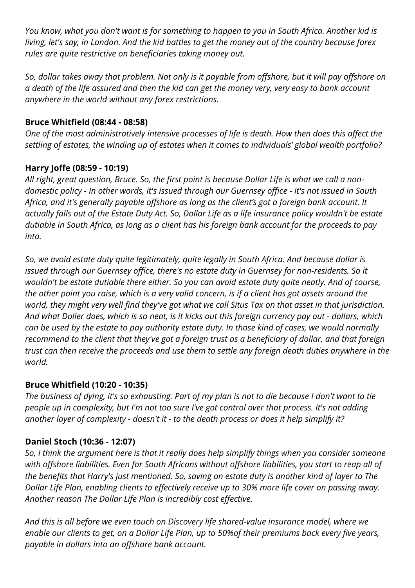*You know, what you don't want is for something to happen to you in South Africa. Another kid is living, let's say, in London. And the kid battles to get the money out of the country because forex rules are quite restrictive on beneficiaries taking money out.* 

*So, dollar takes away that problem. Not only is it payable from offshore, but it will pay offshore on a death of the life assured and then the kid can get the money very, very easy to bank account anywhere in the world without any forex restrictions.*

# **Bruce Whitfield (08:44 - 08:58)**

*One of the most administratively intensive processes of life is death. How then does this affect the settling of estates, the winding up of estates when it comes to individuals' global wealth portfolio?*

# **Harry Joffe (08:59 - 10:19)**

*All right, great question, Bruce. So, the first point is because Dollar Life is what we call a nondomestic policy - In other words, it's issued through our Guernsey office - It's not issued in South Africa, and it's generally payable offshore as long as the client's got a foreign bank account. It actually falls out of the Estate Duty Act. So, Dollar Life as a life insurance policy wouldn't be estate dutiable in South Africa, as long as a client has his foreign bank account for the proceeds to pay into.*

*So, we avoid estate duty quite legitimately, quite legally in South Africa. And because dollar is issued through our Guernsey office, there's no estate duty in Guernsey for non-residents. So it wouldn't be estate dutiable there either. So you can avoid estate duty quite neatly. And of course, the other point you raise, which is a very valid concern, is if a client has got assets around the world, they might very well find they've got what we call Situs Tax on that asset in that jurisdiction. And what Doller does, which is so neat, is it kicks out this foreign currency pay out - dollars, which can be used by the estate to pay authority estate duty. In those kind of cases, we would normally recommend to the client that they've got a foreign trust as a beneficiary of dollar, and that foreign trust can then receive the proceeds and use them to settle any foreign death duties anywhere in the world.*

# **Bruce Whitfield (10:20 - 10:35)**

*The business of dying, it's so exhausting. Part of my plan is not to die because I don't want to tie people up in complexity, but I'm not too sure I've got control over that process. It's not adding another layer of complexity - doesn't it - to the death process or does it help simplify it?*

# **Daniel Stoch (10:36 - 12:07)**

*So, I think the argument here is that it really does help simplify things when you consider someone with offshore liabilities. Even for South Africans without offshore liabilities, you start to reap all of the benefits that Harry's just mentioned. So, saving on estate duty is another kind of layer to The Dollar Life Plan, enabling clients to effectively receive up to 30% more life cover on passing away. Another reason The Dollar Life Plan is incredibly cost effective.*

*And this is all before we even touch on Discovery life shared-value insurance model, where we enable our clients to get, on a Dollar Life Plan, up to 50%of their premiums back every five years, payable in dollars into an offshore bank account.*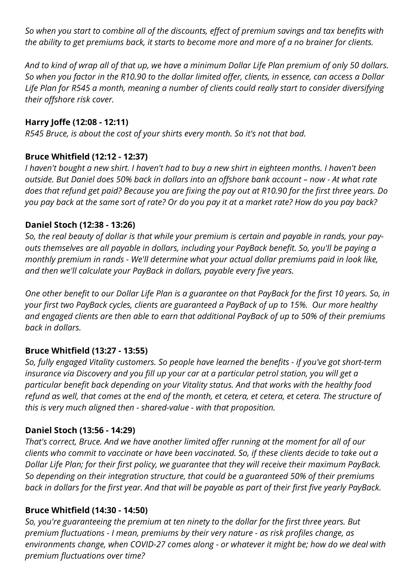*So when you start to combine all of the discounts, effect of premium savings and tax benefits with the ability to get premiums back, it starts to become more and more of a no brainer for clients.* 

*And to kind of wrap all of that up, we have a minimum Dollar Life Plan premium of only 50 dollars. So when you factor in the R10.90 to the dollar limited offer, clients, in essence, can access a Dollar Life Plan for R545 a month, meaning a number of clients could really start to consider diversifying their offshore risk cover.*

### **Harry Joffe (12:08 - 12:11)**

*R545 Bruce, is about the cost of your shirts every month. So it's not that bad.*

### **Bruce Whitfield (12:12 - 12:37)**

*I haven't bought a new shirt. I haven't had to buy a new shirt in eighteen months. I haven't been outside. But Daniel does 50% back in dollars into an offshore bank account – now - At what rate does that refund get paid? Because you are fixing the pay out at R10.90 for the first three years. Do you pay back at the same sort of rate? Or do you pay it at a market rate? How do you pay back?*

### **Daniel Stoch (12:38 - 13:26)**

*So, the real beauty of dollar is that while your premium is certain and payable in rands, your payouts themselves are all payable in dollars, including your PayBack benefit. So, you'll be paying a monthly premium in rands - We'll determine what your actual dollar premiums paid in look like, and then we'll calculate your PayBack in dollars, payable every five years.* 

*One other benefit to our Dollar Life Plan is a guarantee on that PayBack for the first 10 years. So, in your first two PayBack cycles, clients are guaranteed a PayBack of up to 15%. Our more healthy and engaged clients are then able to earn that additional PayBack of up to 50% of their premiums back in dollars.*

# **Bruce Whitfield (13:27 - 13:55)**

*So, fully engaged Vitality customers. So people have learned the benefits - if you've got short-term insurance via Discovery and you fill up your car at a particular petrol station, you will get a particular benefit back depending on your Vitality status. And that works with the healthy food refund as well, that comes at the end of the month, et cetera, et cetera, et cetera. The structure of this is very much aligned then - shared-value - with that proposition.*

### **Daniel Stoch (13:56 - 14:29)**

*That's correct, Bruce. And we have another limited offer running at the moment for all of our clients who commit to vaccinate or have been vaccinated. So, if these clients decide to take out a Dollar Life Plan; for their first policy, we guarantee that they will receive their maximum PayBack. So depending on their integration structure, that could be a guaranteed 50% of their premiums back in dollars for the first year. And that will be payable as part of their first five yearly PayBack.*

### **Bruce Whitfield (14:30 - 14:50)**

*So, you're guaranteeing the premium at ten ninety to the dollar for the first three years. But premium fluctuations - I mean, premiums by their very nature - as risk profiles change, as environments change, when COVID-27 comes along - or whatever it might be; how do we deal with premium fluctuations over time?*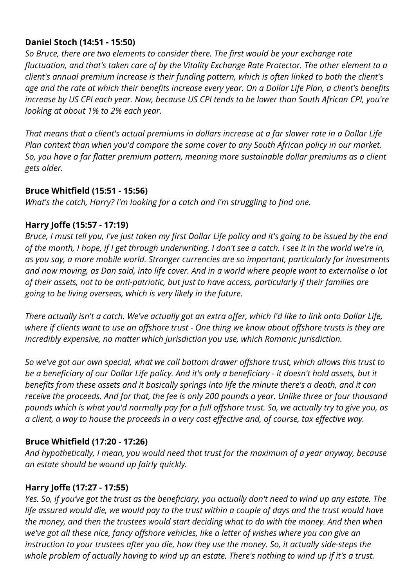### **Daniel Stoch (14:51 - 15:50)**

*So Bruce, there are two elements to consider there. The first would be your exchange rate fluctuation, and that's taken care of by the Vitality Exchange Rate Protector. The other element to a client's annual premium increase is their funding pattern, which is often linked to both the client's age and the rate at which their benefits increase every year. On a Dollar Life Plan, a client's benefits increase by US CPI each year. Now, because US CPI tends to be lower than South African CPI, you're looking at about 1% to 2% each year.*

*That means that a client's actual premiums in dollars increase at a far slower rate in a Dollar Life Plan context than when you'd compare the same cover to any South African policy in our market. So, you have a far flatter premium pattern, meaning more sustainable dollar premiums as a client gets older.*

#### **Bruce Whitfield (15:51 - 15:56)**

*What's the catch, Harry? I'm looking for a catch and I'm struggling to find one.*

### **Harry Joffe (15:57 - 17:19)**

*Bruce, I must tell you, I've just taken my first Dollar Life policy and it's going to be issued by the end of the month, I hope, if I get through underwriting. I don't see a catch. I see it in the world we're in, as you say, a more mobile world. Stronger currencies are so important, particularly for investments and now moving, as Dan said, into life cover. And in a world where people want to externalise a lot of their assets, not to be anti-patriotic, but just to have access, particularly if their families are going to be living overseas, which is very likely in the future.*

*There actually isn't a catch. We've actually got an extra offer, which I'd like to link onto Dollar Life, where if clients want to use an offshore trust - One thing we know about offshore trusts is they are incredibly expensive, no matter which jurisdiction you use, which Romanic jurisdiction.*

*So we've got our own special, what we call bottom drawer offshore trust, which allows this trust to be a beneficiary of our Dollar Life policy. And it's only a beneficiary - it doesn't hold assets, but it benefits from these assets and it basically springs into life the minute there's a death, and it can receive the proceeds. And for that, the fee is only 200 pounds a year. Unlike three or four thousand pounds which is what you'd normally pay for a full offshore trust. So, we actually try to give you, as a client, a way to house the proceeds in a very cost effective and, of course, tax effective way.*

### **Bruce Whitfield (17:20 - 17:26)**

*And hypothetically, I mean, you would need that trust for the maximum of a year anyway, because an estate should be wound up fairly quickly.*

### **Harry Joffe (17:27 - 17:55)**

*Yes. So, if you've got the trust as the beneficiary, you actually don't need to wind up any estate. The life assured would die, we would pay to the trust within a couple of days and the trust would have the money, and then the trustees would start deciding what to do with the money. And then when we've got all these nice, fancy offshore vehicles, like a letter of wishes where you can give an instruction to your trustees after you die, how they use the money. So, it actually side-steps the whole problem of actually having to wind up an estate. There's nothing to wind up if it's a trust.*